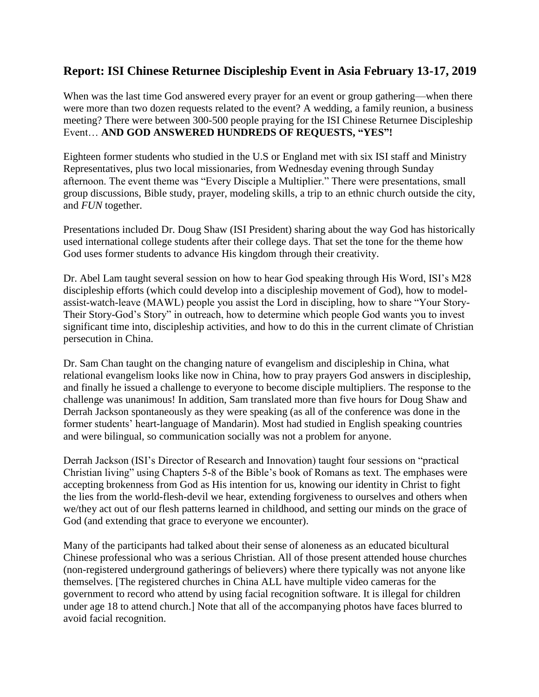## **Report: ISI Chinese Returnee Discipleship Event in Asia February 13-17, 2019**

When was the last time God answered every prayer for an event or group gathering—when there were more than two dozen requests related to the event? A wedding, a family reunion, a business meeting? There were between 300-500 people praying for the ISI Chinese Returnee Discipleship Event… **AND GOD ANSWERED HUNDREDS OF REQUESTS, "YES"!**

Eighteen former students who studied in the U.S or England met with six ISI staff and Ministry Representatives, plus two local missionaries, from Wednesday evening through Sunday afternoon. The event theme was "Every Disciple a Multiplier." There were presentations, small group discussions, Bible study, prayer, modeling skills, a trip to an ethnic church outside the city, and *FUN* together.

Presentations included Dr. Doug Shaw (ISI President) sharing about the way God has historically used international college students after their college days. That set the tone for the theme how God uses former students to advance His kingdom through their creativity.

Dr. Abel Lam taught several session on how to hear God speaking through His Word, ISI's M28 discipleship efforts (which could develop into a discipleship movement of God), how to modelassist-watch-leave (MAWL) people you assist the Lord in discipling, how to share "Your Story-Their Story-God's Story" in outreach, how to determine which people God wants you to invest significant time into, discipleship activities, and how to do this in the current climate of Christian persecution in China.

Dr. Sam Chan taught on the changing nature of evangelism and discipleship in China, what relational evangelism looks like now in China, how to pray prayers God answers in discipleship, and finally he issued a challenge to everyone to become disciple multipliers. The response to the challenge was unanimous! In addition, Sam translated more than five hours for Doug Shaw and Derrah Jackson spontaneously as they were speaking (as all of the conference was done in the former students' heart-language of Mandarin). Most had studied in English speaking countries and were bilingual, so communication socially was not a problem for anyone.

Derrah Jackson (ISI's Director of Research and Innovation) taught four sessions on "practical Christian living" using Chapters 5-8 of the Bible's book of Romans as text. The emphases were accepting brokenness from God as His intention for us, knowing our identity in Christ to fight the lies from the world-flesh-devil we hear, extending forgiveness to ourselves and others when we/they act out of our flesh patterns learned in childhood, and setting our minds on the grace of God (and extending that grace to everyone we encounter).

Many of the participants had talked about their sense of aloneness as an educated bicultural Chinese professional who was a serious Christian. All of those present attended house churches (non-registered underground gatherings of believers) where there typically was not anyone like themselves. [The registered churches in China ALL have multiple video cameras for the government to record who attend by using facial recognition software. It is illegal for children under age 18 to attend church.] Note that all of the accompanying photos have faces blurred to avoid facial recognition.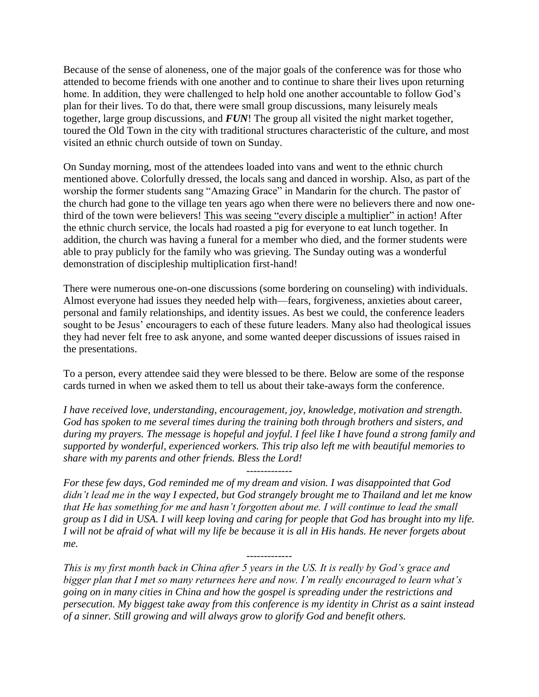Because of the sense of aloneness, one of the major goals of the conference was for those who attended to become friends with one another and to continue to share their lives upon returning home. In addition, they were challenged to help hold one another accountable to follow God's plan for their lives. To do that, there were small group discussions, many leisurely meals together, large group discussions, and *FUN*! The group all visited the night market together, toured the Old Town in the city with traditional structures characteristic of the culture, and most visited an ethnic church outside of town on Sunday.

On Sunday morning, most of the attendees loaded into vans and went to the ethnic church mentioned above. Colorfully dressed, the locals sang and danced in worship. Also, as part of the worship the former students sang "Amazing Grace" in Mandarin for the church. The pastor of the church had gone to the village ten years ago when there were no believers there and now onethird of the town were believers! This was seeing "every disciple a multiplier" in action! After the ethnic church service, the locals had roasted a pig for everyone to eat lunch together. In addition, the church was having a funeral for a member who died, and the former students were able to pray publicly for the family who was grieving. The Sunday outing was a wonderful demonstration of discipleship multiplication first-hand!

There were numerous one-on-one discussions (some bordering on counseling) with individuals. Almost everyone had issues they needed help with—fears, forgiveness, anxieties about career, personal and family relationships, and identity issues. As best we could, the conference leaders sought to be Jesus' encouragers to each of these future leaders. Many also had theological issues they had never felt free to ask anyone, and some wanted deeper discussions of issues raised in the presentations.

To a person, every attendee said they were blessed to be there. Below are some of the response cards turned in when we asked them to tell us about their take-aways form the conference.

*I have received love, understanding, encouragement, joy, knowledge, motivation and strength. God has spoken to me several times during the training both through brothers and sisters, and during my prayers. The message is hopeful and joyful. I feel like I have found a strong family and supported by wonderful, experienced workers. This trip also left me with beautiful memories to share with my parents and other friends. Bless the Lord!* 

-------------

*For these few days, God reminded me of my dream and vision. I was disappointed that God didn't lead me in the way I expected, but God strangely brought me to Thailand and let me know that He has something for me and hasn't forgotten about me. I will continue to lead the small group as I did in USA. I will keep loving and caring for people that God has brought into my life. I will not be afraid of what will my life be because it is all in His hands. He never forgets about me.* 

*This is my first month back in China after 5 years in the US. It is really by God's grace and bigger plan that I met so many returnees here and now. I'm really encouraged to learn what's going on in many cities in China and how the gospel is spreading under the restrictions and persecution. My biggest take away from this conference is my identity in Christ as a saint instead of a sinner. Still growing and will always grow to glorify God and benefit others.* 

-------------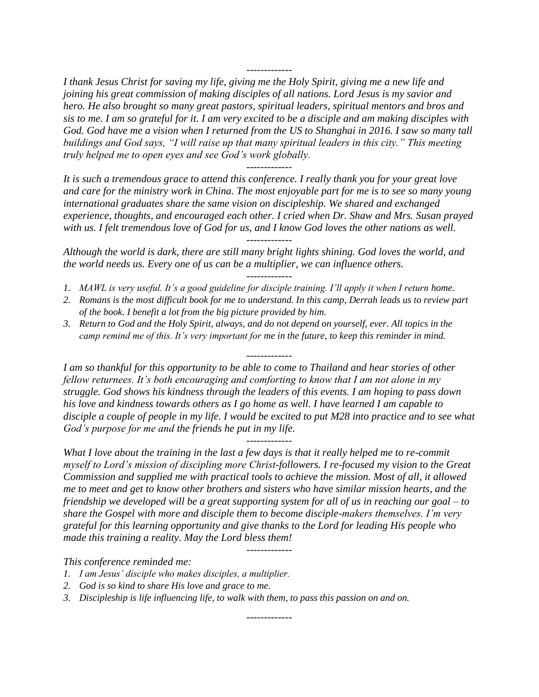*I thank Jesus Christ for saving my life, giving me the Holy Spirit, giving me a new life and joining his great commission of making disciples of all nations. Lord Jesus is my savior and hero. He also brought so many great pastors, spiritual leaders, spiritual mentors and bros and sis to me. I am so grateful for it. I am very excited to be a disciple and am making disciples with God. God have me a vision when I returned from the US to Shanghai in 2016. I saw so many tall buildings and God says, "I will raise up that many spiritual leaders in this city." This meeting truly helped me to open eyes and see God's work globally.*

-------------

*It is such a tremendous grace to attend this conference. I really thank you for your great love and care for the ministry work in China. The most enjoyable part for me is to see so many young international graduates share the same vision on discipleship. We shared and exchanged experience, thoughts, and encouraged each other. I cried when Dr. Shaw and Mrs. Susan prayed with us. I felt tremendous love of God for us, and I know God loves the other nations as well.*

-------------

*Although the world is dark, there are still many bright lights shining. God loves the world, and the world needs us. Every one of us can be a multiplier, we can influence others.*

- ------------- *1. MAWL is very useful. It's a good guideline for disciple training. I'll apply it when I return home.*
- *2. Romans is the most difficult book for me to understand. In this camp, Derrah leads us to review part of the book. I benefit a lot from the big picture provided by him.*
- *3. Return to God and the Holy Spirit, always, and do not depend on yourself, ever. All topics in the camp remind me of this. It's very important for me in the future, to keep this reminder in mind.*

*I am so thankful for this opportunity to be able to come to Thailand and hear stories of other fellow returnees. It's both encouraging and comforting to know that I am not alone in my struggle. God shows his kindness through the leaders of this events. I am hoping to pass down his love and kindness towards others as I go home as well. I have learned I am capable to disciple a couple of people in my life. I would be excited to put M28 into practice and to see what God's purpose for me and the friends he put in my life.* 

-------------

------------- *What I love about the training in the last a few days is that it really helped me to re-commit myself to Lord's mission of discipling more Christ-followers. I re-focused my vision to the Great Commission and supplied me with practical tools to achieve the mission. Most of all, it allowed me to meet and get to know other brothers and sisters who have similar mission hearts, and the friendship we developed will be a great supporting system for all of us in reaching our goal – to share the Gospel with more and disciple them to become disciple-makers themselves. I'm very grateful for this learning opportunity and give thanks to the Lord for leading His people who made this training a reality. May the Lord bless them!* 

-------------

*This conference reminded me:*

- *1. I am Jesus' disciple who makes disciples, a multiplier.*
- *2. God is so kind to share His love and grace to me.*
- *3. Discipleship is life influencing life, to walk with them, to pass this passion on and on.*

-------------